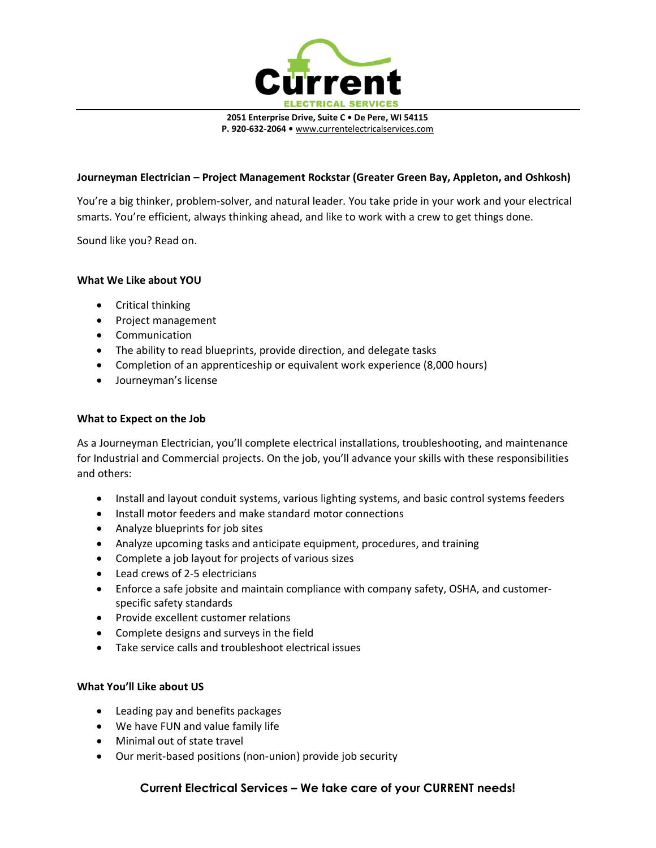

**2051 Enterprise Drive, Suite C • De Pere, WI 54115 P. 920-632-2064 •** [www.currentelectricalservices.com](http://www.currentelectricalservices.com/)

## **Journeyman Electrician – Project Management Rockstar (Greater Green Bay, Appleton, and Oshkosh)**

You're a big thinker, problem-solver, and natural leader. You take pride in your work and your electrical smarts. You're efficient, always thinking ahead, and like to work with a crew to get things done.

Sound like you? Read on.

### **What We Like about YOU**

- Critical thinking
- Project management
- Communication
- The ability to read blueprints, provide direction, and delegate tasks
- Completion of an apprenticeship or equivalent work experience (8,000 hours)
- Journeyman's license

#### **What to Expect on the Job**

As a Journeyman Electrician, you'll complete electrical installations, troubleshooting, and maintenance for Industrial and Commercial projects. On the job, you'll advance your skills with these responsibilities and others:

- Install and layout conduit systems, various lighting systems, and basic control systems feeders
- Install motor feeders and make standard motor connections
- Analyze blueprints for job sites
- Analyze upcoming tasks and anticipate equipment, procedures, and training
- Complete a job layout for projects of various sizes
- Lead crews of 2-5 electricians
- Enforce a safe jobsite and maintain compliance with company safety, OSHA, and customerspecific safety standards
- Provide excellent customer relations
- Complete designs and surveys in the field
- Take service calls and troubleshoot electrical issues

#### **What You'll Like about US**

- Leading pay and benefits packages
- We have FUN and value family life
- Minimal out of state travel
- Our merit-based positions (non-union) provide job security

# **Current Electrical Services – We take care of your CURRENT needs!**